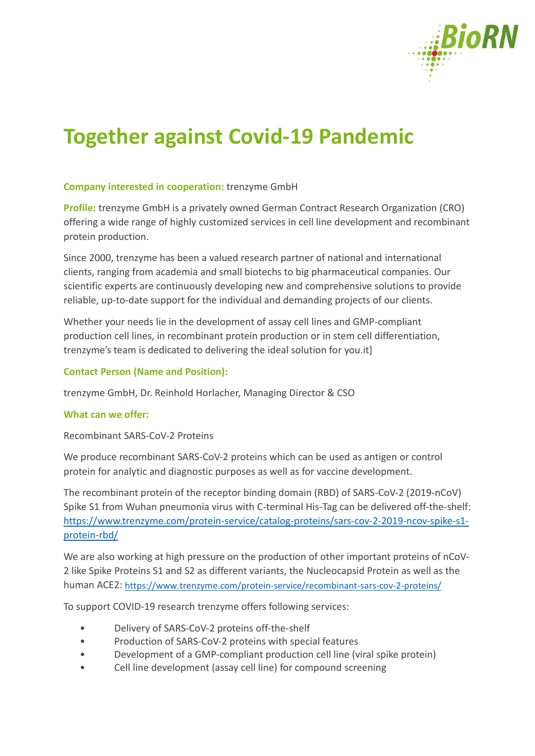

# **Together against Covid-19 Pandemic**

# **Company interested in cooperation:** trenzyme GmbH

**Profile:** trenzyme GmbH is a privately owned German Contract Research Organization (CRO) offering a wide range of highly customized services in cell line development and recombinant protein production.

Since 2000, trenzyme has been a valued research partner of national and international clients, ranging from academia and small biotechs to big pharmaceutical companies. Our scientific experts are continuously developing new and comprehensive solutions to provide reliable, up-to-date support for the individual and demanding projects of our clients.

Whether your needs lie in the development of assay cell lines and GMP-compliant production cell lines, in recombinant protein production or in stem cell differentiation, trenzyme's team is dedicated to delivering the ideal solution for you.it]

# **Contact Person (Name and Position):**

trenzyme GmbH, Dr. Reinhold Horlacher, Managing Director & CSO

### **What can we offer:**

Recombinant SARS-CoV-2 Proteins

We produce recombinant SARS-CoV-2 proteins which can be used as antigen or control protein for analytic and diagnostic purposes as well as for vaccine development.

The recombinant protein of the receptor binding domain (RBD) of SARS-CoV-2 (2019-nCoV) Spike S1 from Wuhan pneumonia virus with C-terminal His-Tag can be delivered off-the-shelf: [https://www.trenzyme.com/protein-service/catalog-proteins/sars-cov-2-2019-ncov-spike-s1](https://www.trenzyme.com/protein-service/catalog-proteins/sars-cov-2-2019-ncov-spike-s1-protein-rbd/) [protein-rbd/](https://www.trenzyme.com/protein-service/catalog-proteins/sars-cov-2-2019-ncov-spike-s1-protein-rbd/)

We are also working at high pressure on the production of other important proteins of nCoV-2 like Spike Proteins S1 and S2 as different variants, the Nucleocapsid Protein as well as the human ACE2: <https://www.trenzyme.com/protein-service/recombinant-sars-cov-2-proteins/>

To support COVID-19 research trenzyme offers following services:

- Delivery of SARS-CoV-2 proteins off-the-shelf
- Production of SARS-CoV-2 proteins with special features
- Development of a GMP-compliant production cell line (viral spike protein)
- Cell line development (assay cell line) for compound screening